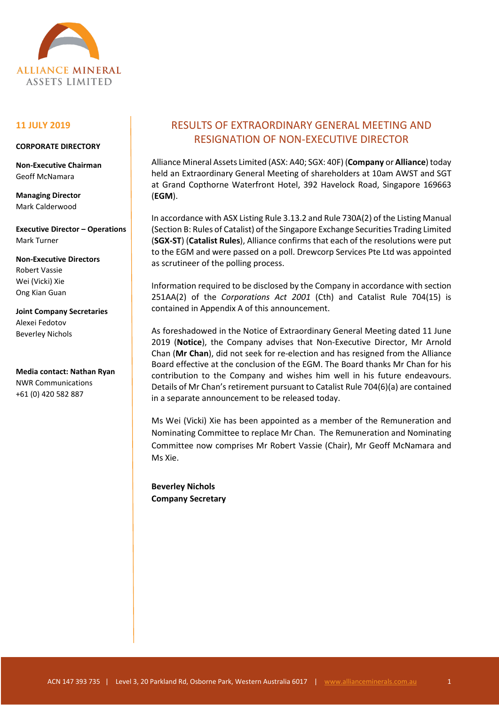

## **11 JULY 2019**

### **CORPORATE DIRECTORY**

**Non-Executive Chairman** Geoff McNamara

**Managing Director** Mark Calderwood

**Executive Director – Operations** Mark Turner

**Non-Executive Directors** Robert Vassie Wei (Vicki) Xie Ong Kian Guan

**Joint Company Secretaries** Alexei Fedotov Beverley Nichols

**Media contact: Nathan Ryan** NWR Communications +61 (0) 420 582 887

# RESULTS OF EXTRAORDINARY GENERAL MEETING AND RESIGNATION OF NON-EXECUTIVE DIRECTOR

Alliance Mineral Assets Limited (ASX: A40; SGX: 40F) (**Company** or **Alliance**) today held an Extraordinary General Meeting of shareholders at 10am AWST and SGT at Grand Copthorne Waterfront Hotel, 392 Havelock Road, Singapore 169663 (**EGM**).

In accordance with ASX Listing Rule 3.13.2 and Rule 730A(2) of the Listing Manual (Section B: Rules of Catalist) of the Singapore Exchange Securities Trading Limited (**SGX-ST**) (**Catalist Rules**), Alliance confirms that each of the resolutions were put to the EGM and were passed on a poll. Drewcorp Services Pte Ltd was appointed as scrutineer of the polling process.

Information required to be disclosed by the Company in accordance with section 251AA(2) of the *Corporations Act 2001* (Cth) and Catalist Rule 704(15) is contained in Appendix A of this announcement.

As foreshadowed in the Notice of Extraordinary General Meeting dated 11 June 2019 (**Notice**), the Company advises that Non-Executive Director, Mr Arnold Chan (**Mr Chan**), did not seek for re-election and has resigned from the Alliance Board effective at the conclusion of the EGM. The Board thanks Mr Chan for his contribution to the Company and wishes him well in his future endeavours. Details of Mr Chan's retirement pursuant to Catalist Rule 704(6)(a) are contained in a separate announcement to be released today.

Ms Wei (Vicki) Xie has been appointed as a member of the Remuneration and Nominating Committee to replace Mr Chan. The Remuneration and Nominating Committee now comprises Mr Robert Vassie (Chair), Mr Geoff McNamara and Ms Xie.

**Beverley Nichols Company Secretary**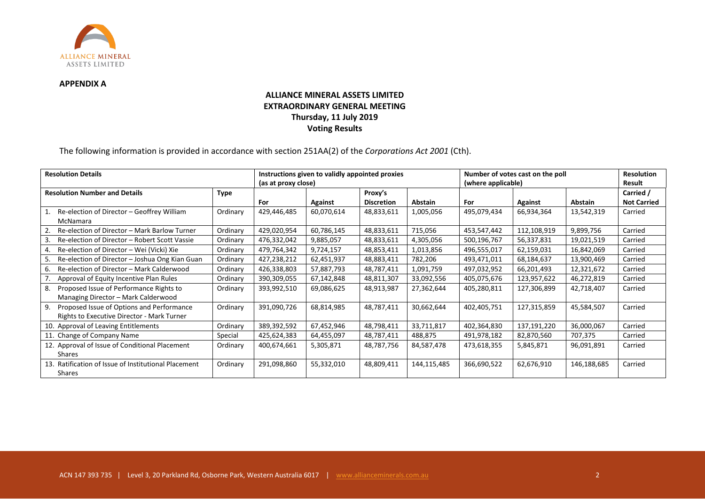

#### **APPENDIX A**

# **ALLIANCE MINERAL ASSETS LIMITED EXTRAORDINARY GENERAL MEETING Thursday, 11 July 2019 Voting Results**

The following information is provided in accordance with section 251AA(2) of the *Corporations Act 2001* (Cth).

| <b>Resolution Details</b>                            |             | Instructions given to validly appointed proxies |            |                   |                | Number of votes cast on the poll |             |                | <b>Resolution</b>  |
|------------------------------------------------------|-------------|-------------------------------------------------|------------|-------------------|----------------|----------------------------------|-------------|----------------|--------------------|
|                                                      |             | (as at proxy close)                             |            |                   |                | (where applicable)               |             |                | Result             |
| <b>Resolution Number and Details</b>                 | <b>Type</b> |                                                 |            | Proxy's           |                |                                  |             |                | Carried /          |
|                                                      |             | For                                             | Against    | <b>Discretion</b> | <b>Abstain</b> | For                              | Against     | <b>Abstain</b> | <b>Not Carried</b> |
| Re-election of Director - Geoffrey William           | Ordinary    | 429,446,485                                     | 60,070,614 | 48,833,611        | 1,005,056      | 495,079,434                      | 66,934,364  | 13,542,319     | Carried            |
| McNamara                                             |             |                                                 |            |                   |                |                                  |             |                |                    |
| Re-election of Director - Mark Barlow Turner         | Ordinary    | 429,020,954                                     | 60,786,145 | 48,833,611        | 715,056        | 453,547,442                      | 112,108,919 | 9,899,756      | Carried            |
| Re-election of Director - Robert Scott Vassie        | Ordinary    | 476,332,042                                     | 9,885,057  | 48,833,611        | 4,305,056      | 500,196,767                      | 56,337,831  | 19,021,519     | Carried            |
| Re-election of Director - Wei (Vicki) Xie            | Ordinary    | 479,764,342                                     | 9,724,157  | 48,853,411        | 1,013,856      | 496,555,017                      | 62,159,031  | 16,842,069     | Carried            |
| Re-election of Director - Joshua Ong Kian Guan<br>5. | Ordinary    | 427,238,212                                     | 62,451,937 | 48,883,411        | 782,206        | 493,471,011                      | 68,184,637  | 13,900,469     | Carried            |
| Re-election of Director - Mark Calderwood<br>6.      | Ordinary    | 426,338,803                                     | 57,887,793 | 48,787,411        | 1,091,759      | 497,032,952                      | 66,201,493  | 12,321,672     | Carried            |
| Approval of Equity Incentive Plan Rules              | Ordinary    | 390,309,055                                     | 67,142,848 | 48,811,307        | 33,092,556     | 405,075,676                      | 123,957,622 | 46,272,819     | Carried            |
| Proposed Issue of Performance Rights to<br>8.        | Ordinary    | 393,992,510                                     | 69,086,625 | 48,913,987        | 27,362,644     | 405,280,811                      | 127,306,899 | 42,718,407     | Carried            |
| Managing Director - Mark Calderwood                  |             |                                                 |            |                   |                |                                  |             |                |                    |
| 9.<br>Proposed Issue of Options and Performance      | Ordinary    | 391,090,726                                     | 68,814,985 | 48,787,411        | 30,662,644     | 402,405,751                      | 127,315,859 | 45,584,507     | Carried            |
| Rights to Executive Director - Mark Turner           |             |                                                 |            |                   |                |                                  |             |                |                    |
| 10. Approval of Leaving Entitlements                 | Ordinary    | 389,392,592                                     | 67,452,946 | 48,798,411        | 33,711,817     | 402,364,830                      | 137,191,220 | 36,000,067     | Carried            |
| 11. Change of Company Name                           | Special     | 425,624,383                                     | 64,455,097 | 48,787,411        | 488,875        | 491,978,182                      | 82,870,560  | 707,375        | Carried            |
| 12. Approval of Issue of Conditional Placement       | Ordinary    | 400,674,661                                     | 5,305,871  | 48,787,756        | 84,587,478     | 473,618,355                      | 5,845,871   | 96,091,891     | Carried            |
| <b>Shares</b>                                        |             |                                                 |            |                   |                |                                  |             |                |                    |
| 13. Ratification of Issue of Institutional Placement | Ordinary    | 291,098,860                                     | 55,332,010 | 48,809,411        | 144,115,485    | 366,690,522                      | 62,676,910  | 146,188,685    | Carried            |
| Shares                                               |             |                                                 |            |                   |                |                                  |             |                |                    |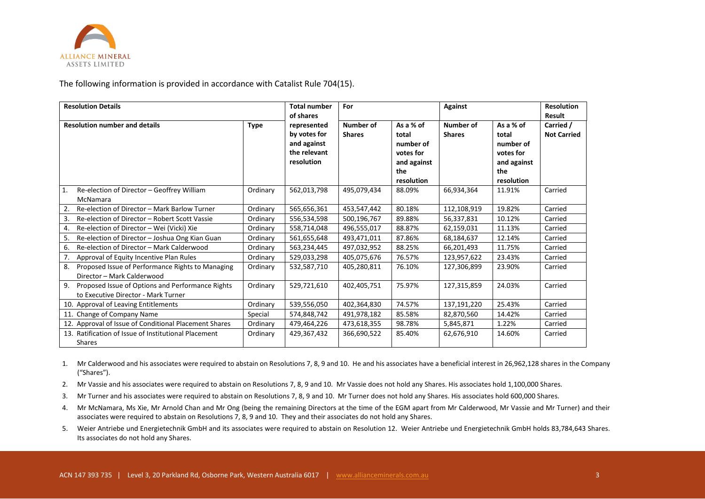

The following information is provided in accordance with Catalist Rule 704(15).

| <b>Resolution Details</b>                                                                     |             | <b>Total number</b><br>of shares                                         | For                        |                                                                                  | <b>Against</b>             |                                                                                  | <b>Resolution</b><br>Result     |
|-----------------------------------------------------------------------------------------------|-------------|--------------------------------------------------------------------------|----------------------------|----------------------------------------------------------------------------------|----------------------------|----------------------------------------------------------------------------------|---------------------------------|
| <b>Resolution number and details</b>                                                          | <b>Type</b> | represented<br>by votes for<br>and against<br>the relevant<br>resolution | Number of<br><b>Shares</b> | As a % of<br>total<br>number of<br>votes for<br>and against<br>the<br>resolution | Number of<br><b>Shares</b> | As a % of<br>total<br>number of<br>votes for<br>and against<br>the<br>resolution | Carried /<br><b>Not Carried</b> |
| Re-election of Director - Geoffrey William<br>  1.                                            | Ordinary    | 562,013,798                                                              | 495,079,434                | 88.09%                                                                           | 66,934,364                 | 11.91%                                                                           | Carried                         |
| McNamara<br>Re-election of Director - Mark Barlow Turner<br>2.                                | Ordinary    | 565,656,361                                                              | 453,547,442                | 80.18%                                                                           | 112,108,919                | 19.82%                                                                           | Carried                         |
| 3.<br>Re-election of Director - Robert Scott Vassie                                           | Ordinary    | 556,534,598                                                              | 500,196,767                | 89.88%                                                                           | 56,337,831                 | 10.12%                                                                           | Carried                         |
| Re-election of Director - Wei (Vicki) Xie<br>4.                                               | Ordinary    | 558,714,048                                                              | 496,555,017                | 88.87%                                                                           | 62,159,031                 | 11.13%                                                                           | Carried                         |
| Re-election of Director - Joshua Ong Kian Guan<br>5.                                          | Ordinary    | 561,655,648                                                              | 493,471,011                | 87.86%                                                                           | 68,184,637                 | 12.14%                                                                           | Carried                         |
| Re-election of Director - Mark Calderwood<br>6.                                               | Ordinary    | 563,234,445                                                              | 497,032,952                | 88.25%                                                                           | 66,201,493                 | 11.75%                                                                           | Carried                         |
| Approval of Equity Incentive Plan Rules<br>7.                                                 | Ordinary    | 529,033,298                                                              | 405,075,676                | 76.57%                                                                           | 123,957,622                | 23.43%                                                                           | Carried                         |
| Proposed Issue of Performance Rights to Managing<br>8.<br>Director - Mark Calderwood          | Ordinary    | 532,587,710                                                              | 405,280,811                | 76.10%                                                                           | 127,306,899                | 23.90%                                                                           | Carried                         |
| 9.<br>Proposed Issue of Options and Performance Rights<br>to Executive Director - Mark Turner | Ordinary    | 529,721,610                                                              | 402,405,751                | 75.97%                                                                           | 127,315,859                | 24.03%                                                                           | Carried                         |
| 10. Approval of Leaving Entitlements                                                          | Ordinary    | 539,556,050                                                              | 402,364,830                | 74.57%                                                                           | 137,191,220                | 25.43%                                                                           | Carried                         |
| 11. Change of Company Name                                                                    | Special     | 574,848,742                                                              | 491,978,182                | 85.58%                                                                           | 82,870,560                 | 14.42%                                                                           | Carried                         |
| 12. Approval of Issue of Conditional Placement Shares                                         | Ordinary    | 479,464,226                                                              | 473,618,355                | 98.78%                                                                           | 5,845,871                  | 1.22%                                                                            | Carried                         |
| 13. Ratification of Issue of Institutional Placement                                          | Ordinary    | 429,367,432                                                              | 366,690,522                | 85.40%                                                                           | 62,676,910                 | 14.60%                                                                           | Carried                         |
| <b>Shares</b>                                                                                 |             |                                                                          |                            |                                                                                  |                            |                                                                                  |                                 |

1. Mr Calderwood and his associates were required to abstain on Resolutions 7, 8, 9 and 10. He and his associates have a beneficial interest in 26,962,128 shares in the Company ("Shares").

- 2. Mr Vassie and his associates were required to abstain on Resolutions 7, 8, 9 and 10. Mr Vassie does not hold any Shares. His associates hold 1,100,000 Shares.
- 3. Mr Turner and his associates were required to abstain on Resolutions 7, 8, 9 and 10. Mr Turner does not hold any Shares. His associates hold 600,000 Shares.
- 4. Mr McNamara, Ms Xie, Mr Arnold Chan and Mr Ong (being the remaining Directors at the time of the EGM apart from Mr Calderwood, Mr Vassie and Mr Turner) and their associates were required to abstain on Resolutions 7, 8, 9 and 10. They and their associates do not hold any Shares.
- 5. Weier Antriebe und Energietechnik GmbH and its associates were required to abstain on Resolution 12. Weier Antriebe und Energietechnik GmbH holds 83,784,643 Shares. Its associates do not hold any Shares.